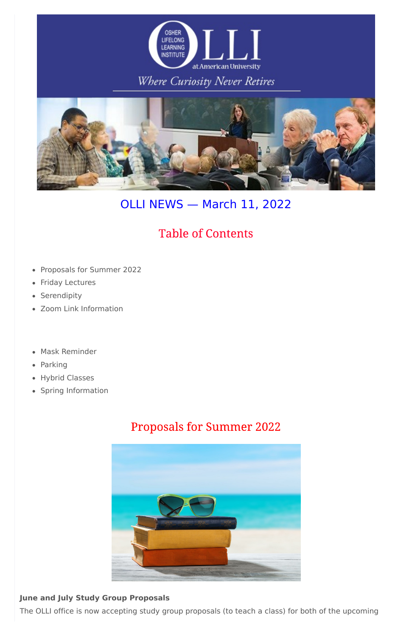

## Where Curiosity Never Retires



# OLLI NEWS — March 11, 2022

## **Table of Contents**

- Proposals for Summer 2022
- Friday Lectures
- Serendipity
- Zoom Link Information
- Mask Reminder
- Parking
- Hybrid Classes
- Spring Information

## **Proposals for Summer 2022**



#### **June and July Study Group Proposals**

The OLLI office is now accepting study group proposals (to teach a class) for both of the upcoming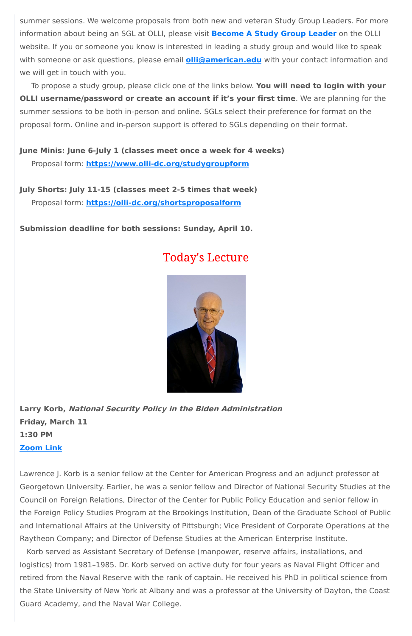summer sessions. We welcome proposals from both new and veteran Study Group Leaders. For more information about being an SGL at OLLI, please visit **[Become](https://olli-dc.org/become_a_study_group_leader) A Study Group Leader** on the OLLI website. If you or someone you know is interested in leading a study group and would like to speak with someone or ask questions, please email **[olli@american.edu](mailto:olli@american.edu)** with your contact information and we will get in touch with you.

To propose a study group, please click one of the links below. **You will need to login with your OLLI username/password or create an account if it's your first time**. We are planning for the summer sessions to be both in-person and online. SGLs select their preference for format on the proposal form. Online and in-person support is offered to SGLs depending on their format.

**June Minis: June 6-July 1 (classes meet once a week for 4 weeks)** Proposal form: **[https://www.olli-dc.org/studygroupform](https://olli-dc.org/studygroupform)**

**July Shorts: July 11-15 (classes meet 2-5 times that week)** Proposal form: **<https://olli-dc.org/shortsproposalform>**

**Submission deadline for both sessions: Sunday, April 10.**

## **Today's Lecture**



**Larry Korb, National Security Policy in the Biden Administration Friday, March 11 1:30 PM [Zoom](https://olli-dc-org.zoom.us/j/95203444826?pwd=bHk4cnJZSTVNbHcvUFlCeFdhOExDZz09) Link**

Lawrence J. Korb is a senior fellow at the Center for American Progress and an adjunct professor at Georgetown University. Earlier, he was a senior fellow and Director of National Security Studies at the Council on Foreign Relations, Director of the Center for Public Policy Education and senior fellow in the Foreign Policy Studies Program at the Brookings Institution, Dean of the Graduate School of Public and International Affairs at the University of Pittsburgh; Vice President of Corporate Operations at the Raytheon Company; and Director of Defense Studies at the American Enterprise Institute. Korb served as Assistant Secretary of Defense (manpower, reserve affairs, installations, and logistics) from 1981–1985. Dr. Korb served on active duty for four years as Naval Flight Officer and retired from the Naval Reserve with the rank of captain. He received his PhD in political science from the State University of New York at Albany and was a professor at the University of Dayton, the Coast Guard Academy, and the Naval War College.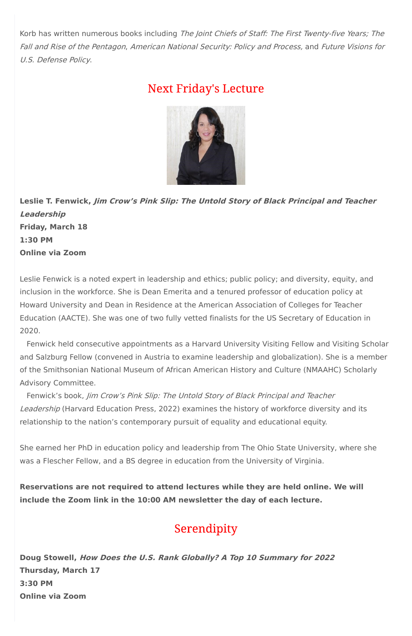Korb has written numerous books including The Joint Chiefs of Staff: The First Twenty-five Years; The Fall and Rise of the Pentagon, American National Security: Policy and Process, and Future Visions for U.S. Defense Policy.

## **Next Friday's Lecture**



**Leslie T. Fenwick, Jim Crow's Pink Slip: The Untold Story of Black Principal and Teacher Leadership Friday, March 18 1:30 PM Online via Zoom**

Leslie Fenwick is a noted expert in leadership and ethics; public policy; and diversity, equity, and inclusion in the workforce. She is Dean Emerita and a tenured professor of education policy at Howard University and Dean in Residence at the American Association of Colleges for Teacher Education (AACTE). She was one of two fully vetted finalists for the US Secretary of Education in 2020.

Fenwick held consecutive appointments as a Harvard University Visiting Fellow and Visiting Scholar and Salzburg Fellow (convened in Austria to examine leadership and globalization). She is a member of the Smithsonian National Museum of African American History and Culture (NMAAHC) Scholarly Advisory Committee.

Fenwick's book, Jim Crow's Pink Slip: The Untold Story of Black Principal and Teacher Leadership (Harvard Education Press, 2022) examines the history of workforce diversity and its relationship to the nation's contemporary pursuit of equality and educational equity.

She earned her PhD in education policy and leadership from The Ohio State University, where she was a Flescher Fellow, and a BS degree in education from the University of Virginia.

**Reservations are not required to attend lectures while they are held online. We will include the Zoom link in the 10:00 AM newsletter the day of each lecture.**

## Serendipity

**Doug Stowell, How Does the U.S. Rank Globally? A Top 10 Summary for 2022 Thursday, March 17 3:30 PM Online via Zoom**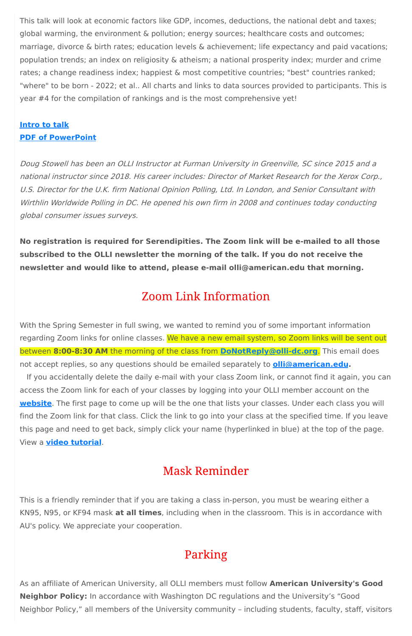This talk will look at economic factors like GDP, incomes, deductions, the national debt and taxes; global warming, the environment & pollution; energy sources; healthcare costs and outcomes; marriage, divorce & birth rates; education levels & achievement; life expectancy and paid vacations; population trends; an index on religiosity & atheism; a national prosperity index; murder and crime rates; a change readiness index; happiest & most competitive countries; "best" countries ranked; "where" to be born - 2022; et al.. All charts and links to data sources provided to participants. This is year #4 for the compilation of rankings and is the most comprehensive yet!

### **[Intro](https://d1a8dioxuajlzs.cloudfront.net/accounts/9799/original/How%2520does%2520the%2520U.S.%2520rank%2520globally%2520-%25202022%2520-%2520INTRO%2521.pdf?1646842817) to talk PDF of [PowerPoint](https://d1a8dioxuajlzs.cloudfront.net/accounts/9799/original/How%2520does%2520the%2520U.S.%2520rank%2520-%25202022%2521.pdf?1646842695)**

Doug Stowell has been an OLLI Instructor at Furman University in Greenville, SC since 2015 and <sup>a</sup> national instructor since 2018. His career includes: Director of Market Research for the Xerox Corp., U.S. Director for the U.K. firm National Opinion Polling, Ltd. In London, and Senior Consultant with Wirthlin Worldwide Polling in DC. He opened his own firm in 2008 and continues today conducting global consumer issues surveys.

**No registration is required for Serendipities. The Zoom link will be e-mailed to all those subscribed to the OLLI newsletter the morning of the talk. If you do not receive the newsletter and would like to attend, please e-mail olli@american.edu that morning.**

## **Zoom Link Information**

With the Spring Semester in full swing, we wanted to remind you of some important information regarding Zoom links for online classes. We have a new email system, so Zoom links will be sent out between **8:00-8:30 AM** the morning of the class from **[DoNotReply@olli-dc.org](mailto:DoNotReply@olli-dc.org)**. This email does not accept replies, so any questions should be emailed separately to **[olli@american.edu.](mailto:olli@american.edu)**

If you accidentally delete the daily e-mail with your class Zoom link, or cannot find it again, you can access the Zoom link for each of your classes by logging into your OLLI member account on the **[website](https://www.olli-dc.org/)**. The first page to come up will be the one that lists your classes. Under each class you will find the Zoom link for that class. Click the link to go into your class at the specified time. If you leave this page and need to get back, simply click your name (hyperlinked in blue) at the top of the page. View a **video [tutorial](https://vimeo.com/666099470)**.

## **Mask Reminder**

This is a friendly reminder that if you are taking a class in-person, you must be wearing either a KN95, N95, or KF94 mask **at all times**, including when in the classroom. This is in accordance with AU's policy. We appreciate your cooperation.

## Parking

As an affiliate of American University, all OLLI members must follow **American University's Good Neighbor Policy:** In accordance with Washington DC regulations and the University's "Good Neighbor Policy," all members of the University community – including students, faculty, staff, visitors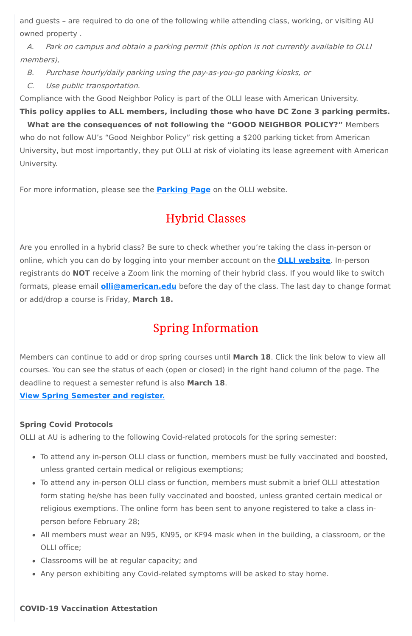and guests – are required to do one of the following while attending class, working, or visiting AU owned property .

A. Park on campus and obtain <sup>a</sup> parking permit (this option is not currently available to OLLI members),

- B. Purchase hourly/daily parking using the pay-as-you-go parking kiosks, or
- C. Use public transportation.

Compliance with the Good Neighbor Policy is part of the OLLI lease with American University.

**This policy applies to ALL members, including those who have DC Zone 3 parking permits. What are the consequences of not following the "GOOD NEIGHBOR POLICY?"** Members who do not follow AU's "Good Neighbor Policy" risk getting a \$200 parking ticket from American University, but most importantly, they put OLLI at risk of violating its lease agreement with American University.

For more information, please see the **[Parking](https://olli-dc.org/parking) Page** on the OLLI website.

## **Hybrid Classes**

Are you enrolled in a hybrid class? Be sure to check whether you're taking the class in-person or online, which you can do by logging into your member account on the **OLLI [website](https://urldefense.com/v3/__https:/track.robly.com/9e6648c2-619a-4801-a1b7-afe48cf7a59cb695cb5c3418ba48a280608801a198ab__;!!IaT_gp1N!kd0wsQK3j5csV1YAEn7osgRZLzX27LyIbSVko57rrel3diPMR-4JER24_mxxDCddOQ$)**. In-person registrants do **NOT** receive a Zoom link the morning of their hybrid class. If you would like to switch formats, please email **[olli@american.edu](https://urldefense.com/v3/__https:/track.robly.com/9e6648c2-619a-4801-a1b7-afe48cf7a59cfcd6623193a1b651b18d39fba5d0ce95__;!!IaT_gp1N!kd0wsQK3j5csV1YAEn7osgRZLzX27LyIbSVko57rrel3diPMR-4JER24_mwKjhYPIw$)** before the day of the class. The last day to change format or add/drop a course is Friday, **March 18.**

# **Spring Information**

Members can continue to add or drop spring courses until **March 18**. Click the link below to view all courses. You can see the status of each (open or closed) in the right hand column of the page. The deadline to request a semester refund is also **March 18**.

**View Spring [Semester](https://www.olli-dc.org/view_all_study_groups) and register.**

### **Spring Covid Protocols**

OLLI at AU is adhering to the following Covid-related protocols for the spring semester:

- To attend any in-person OLLI class or function, members must be fully vaccinated and boosted, unless granted certain medical or religious exemptions;
- To attend any in-person OLLI class or function, members must submit a brief OLLI attestation form stating he/she has been fully vaccinated and boosted, unless granted certain medical or religious exemptions. The online form has been sent to anyone registered to take a class inperson before February 28;
- All members must wear an N95, KN95, or KF94 mask when in the building, a classroom, or the OLLI office;
- Classrooms will be at regular capacity; and
- Any person exhibiting any Covid-related symptoms will be asked to stay home.

#### **COVID-19 Vaccination Attestation**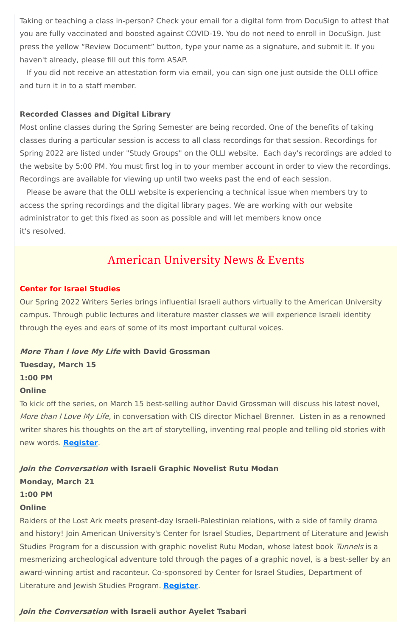Taking or teaching a class in-person? Check your email for a digital form from DocuSign to attest that you are fully vaccinated and boosted against COVID-19. You do not need to enroll in DocuSign. Just press the yellow "Review Document" button, type your name as a signature, and submit it. If you haven't already, please fill out this form ASAP.

If you did not receive an attestation form via email, you can sign one just outside the OLLI office and turn it in to a staff member.

#### **Recorded Classes and Digital Library**

Most online classes during the Spring Semester are being recorded. One of the benefits of taking classes during a particular session is access to all class recordings for that session. Recordings for Spring 2022 are listed under "Study Groups" on the OLLI website. Each day's recordings are added to the website by 5:00 PM. You must first log in to your member account in order to view the recordings. Recordings are available for viewing up until two weeks past the end of each session.

Please be aware that the OLLI website is experiencing a technical issue when members try to access the spring recordings and the digital library pages. We are working with our website administrator to get this fixed as soon as possible and will let members know once it's resolved.

## **American University News & Events**

#### **Center for Israel Studies**

Our Spring 2022 Writers Series brings influential Israeli authors virtually to the American University campus. Through public lectures and literature master classes we will experience Israeli identity through the eyes and ears of some of its most important cultural voices.

#### **More Than I love My Life with David Grossman**

**Tuesday, March 15 1:00 PM**

#### **Online**

To kick off the series, on March 15 best-selling author David Grossman will discuss his latest novel, More than I Love My Life, in conversation with CIS director Michael Brenner. Listen in as a renowned writer shares his thoughts on the art of storytelling, inventing real people and telling old stories with new words. **[Register](https://www.eventbrite.com/e/israeli-writers-series-a-conversation-with-david-grossman-tickets-262216956977)**.

#### **Join the Conversation with Israeli Graphic Novelist Rutu Modan**

**Monday, March 21**

#### **1:00 PM**

#### **Online**

Raiders of the Lost Ark meets present-day Israeli-Palestinian relations, with a side of family drama and history! Join American University's Center for Israel Studies, Department of Literature and Jewish Studies Program for a discussion with graphic novelist Rutu Modan, whose latest book Tunnels is a mesmerizing archeological adventure told through the pages of a graphic novel, is a best-seller by an award-winning artist and raconteur. Co-sponsored by Center for Israel Studies, Department of Literature and Jewish Studies Program. **[Register](https://www.eventbrite.com/e/israeli-writers-series-a-conversation-with-graphic-novelist-rutu-modan-tickets-277783787787)**.

#### **Join the Conversation with Israeli author Ayelet Tsabari**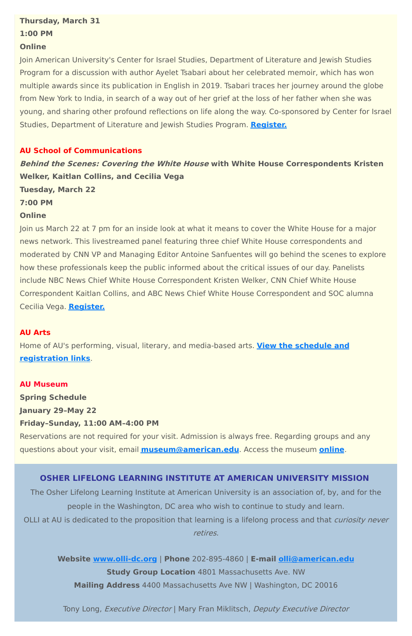### **Thursday, March 31**

#### **1:00 PM**

#### **Online**

Join American University's Center for Israel Studies, Department of Literature and Jewish Studies Program for a discussion with author Ayelet Tsabari about her celebrated memoir, which has won multiple awards since its publication in English in 2019. Tsabari traces her journey around the globe from New York to India, in search of a way out of her grief at the loss of her father when she was young, and sharing other profound reflections on life along the way. Co-sponsored by Center for Israel Studies, Department of Literature and Jewish Studies Program. **[Register.](https://www.eventbrite.com/e/israeli-writers-series-a-conversation-with-author-ayelet-tsabari-tickets-288938712467)**

#### **AU School of Communications**

**Behind the Scenes: Covering the White House with White House Correspondents Kristen Welker, Kaitlan Collins, and Cecilia Vega Tuesday, March 22**

**7:00 PM**

#### **Online**

The Osher Lifelong Learning Institute at American University is an association of, by, and for the people in the Washington, DC area who wish to continue to study and learn. OLLI at AU is dedicated to the proposition that learning is a lifelong process and that *curiosity never* 

Join us March 22 at 7 pm for an inside look at what it means to cover the White House for a major news network. This livestreamed panel featuring three chief White House correspondents and moderated by CNN VP and Managing Editor Antoine Sanfuentes will go behind the scenes to explore how these professionals keep the public informed about the critical issues of our day. Panelists include NBC News Chief White House Correspondent Kristen Welker, CNN Chief White House Correspondent Kaitlan Collins, and ABC News Chief White House Correspondent and SOC alumna Cecilia Vega. **[Register.](https://www.eventbrite.com/e/behind-the-scenes-covering-the-white-house-tickets-269668574967)**

#### **AU Arts**

Home of AU's performing, visual, literary, and media-based arts. **View the schedule and [registration](https://www.american.edu/arts/) links**.

## **AU Museum Spring Schedule January 29–May 22 Friday–Sunday, 11:00 AM–4:00 PM**

Reservations are not required for your visit. Admission is always free. Regarding groups and any questions about your visit, email **[museum@american.edu](mailto:museum@american.edu)**. Access the museum **[online](https://www.american.edu/cas/museum/reopening.cfm)**.

#### **OSHER LIFELONG LEARNING INSTITUTE AT AMERICAN UNIVERSITY MISSION**

retires.

**Website [www.olli-dc.org](http://www.olli-dc.org/)** | **Phone** 202-895-4860 | **E-mail [olli@american.edu](mailto:olli@american.edu) Study Group Location** 4801 Massachusetts Ave. NW **Mailing Address** 4400 Massachusetts Ave NW | Washington, DC 20016

Tony Long, Executive Director | Mary Fran Miklitsch, Deputy Executive Director